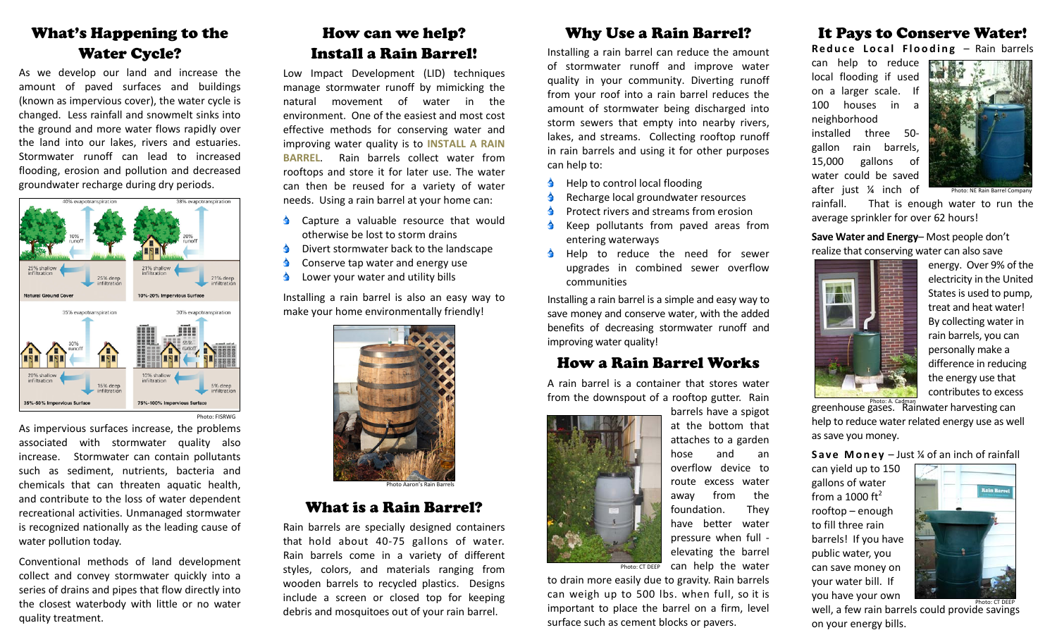## What's Happening to the Water Cycle?

As we develop our land and increase the amount of paved surfaces and buildings (known as impervious cover), the water cycle is changed. Less rainfall and snowmelt sinks into the ground and more water flows rapidly over the land into our lakes, rivers and estuaries. Stormwater runoff can lead to increased flooding, erosion and pollution and decreased groundwater recharge during dry periods.



As impervious surfaces increase, the problems associated with stormwater quality also increase. Stormwater can contain pollutants such as sediment, nutrients, bacteria and chemicals that can threaten aquatic health, and contribute to the loss of water dependent recreational activities. Unmanaged stormwater is recognized nationally as the leading cause of water pollution today.

Conventional methods of land development collect and convey stormwater quickly into <sup>a</sup> series of drains and pipes that flow directly into the closest waterbody with little or no water quality treatment.

# How can we help? Install a Rain Barrel!

Low Impact Development (LID) techniques manage stormwater runoff by mimicking the natural movement of water in the environment. One of the easiest and most cost effective methods for conserving water and improving water quality is to **INSTALL A RAIN BARREL**. Rain barrels collect water fromrooftops and store it for later use. The water can then be reused for <sup>a</sup> variety of water needs. Using <sup>a</sup> rain barrel at your home can:

- **Capture a valuable resource that would** otherwise be lost to storm drains
- $\triangle$ Divert stormwater back to the landscape
- $\blacklozenge$ Conserve tap water and energy use
- $\bullet$ Lower your water and utility bills

Installing <sup>a</sup> rain barrel is also an easy way to make your home environmentally friendly!



Photo Aaron's Rain Barrels

## What is a Rain Barrel?

Rain barrels are specially designed containers that hold about 40‐75 gallons of water. Rain barrels come in <sup>a</sup> variety of different styles, colors, and materials ranging from wooden barrels to recycled plastics. Designs include a screen or closed top for keeping debris and mosquitoes out of your rain barrel.

## Why Use a Rain Barrel?

Installing <sup>a</sup> rain barrel can reduce the amount of stormwater runoff and improve water quality in your community. Diverting runoff from your roof into <sup>a</sup> rain barrel reduces the amount of stormwater being discharged into storm sewers that empty into nearby rivers, lakes, and streams. Collecting rooftop runoff in rain barrels and using it for other purposes can help to:

- $\triangle$  Help to control local flooding
- Recharge local groundwater resources
- Protect rivers and streams from erosion
- Keep pollutants from paved areas from entering waterways
- Help to reduce the need for sewer upgrades in combined sewer overflow communities

Installing <sup>a</sup> rain barrel is <sup>a</sup> simple and easy way to save money and conserve water, with the added benefits of decreasing stormwater runoff and improving water quality!

## How a Rain Barrel Works

A rain barrel is <sup>a</sup> container that stores water from the downspout of <sup>a</sup> rooftop gutter. Rain

and

an

They



can help the water Photo: CT DEEP

to drain more easily due to gravity. Rain barrels can weigh up to 500 lbs. when full, so it is important to place the barrel on <sup>a</sup> firm, level surface such as cement blocks or pavers.

## It Pays to Conserve Water!

**Reduce Local Flooding** – Rain barrels

can help to reduce local flooding if used on <sup>a</sup> larger scale. If 100 houses in a neighborhood installed three 50‐ gallon rain barrels, 15,000 gallons of water could be saved after just ¼ inch of



rainfall. That is enough water to run the average sprinkler for over 62 hours!

**Save Water and Energy**– Most people don't realize that conserving water can also save



energy. Over 9% of the electricity in the United States is used to pump, treat and heat water! By collecting water in rain barrels, you can personally make <sup>a</sup> difference in reducing the energy use that contributes to excess

greenhouse gases. Rainan karvesting can help to reduce water related energy use as well as save you money.

#### **Save Money** – Just ¼ of an inch of rainfall

can yield up to 150 gallons of water from a 1000 ft $^2$ rooftop – enough to fill three rain barrels! If you have public water, you can save money on your water bill. If you have your own



well, <sup>a</sup> few rain barrels could provide savings on your energy bills. Photo: CT DEEP